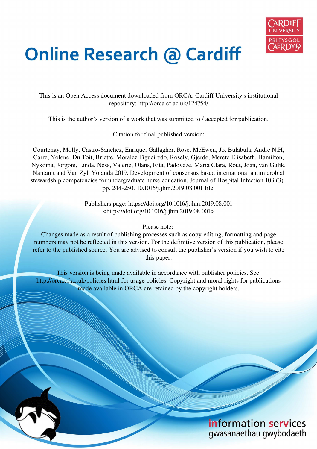

# **Online Research @ Cardiff**

This is an Open Access document downloaded from ORCA, Cardiff University's institutional repository: http://orca.cf.ac.uk/124754/

This is the author's version of a work that was submitted to / accepted for publication.

Citation for final published version:

Courtenay, Molly, Castro-Sanchez, Enrique, Gallagher, Rose, McEwen, Jo, Bulabula, Andre N.H, Carre, Yolene, Du Toit, Briette, Moralez Figueiredo, Rosely, Gjerde, Merete Elisabeth, Hamilton, Nykoma, Jorgoni, Linda, Ness, Valerie, Olans, Rita, Padoveze, Maria Clara, Rout, Joan, van Gulik, Nantanit and Van Zyl, Yolanda 2019. Development of consensus based international antimicrobial stewardship competencies for undergraduate nurse education. Journal of Hospital Infection 103 (3) , pp. 244-250. 10.1016/j.jhin.2019.08.001 file

> Publishers page: https://doi.org/10.1016/j.jhin.2019.08.001 <https://doi.org/10.1016/j.jhin.2019.08.001>

> > Please note:

Changes made as a result of publishing processes such as copy-editing, formatting and page numbers may not be reflected in this version. For the definitive version of this publication, please refer to the published source. You are advised to consult the publisher's version if you wish to cite this paper.

This version is being made available in accordance with publisher policies. See http://orca.cf.ac.uk/policies.html for usage policies. Copyright and moral rights for publications made available in ORCA are retained by the copyright holders.



information services gwasanaethau gwybodaeth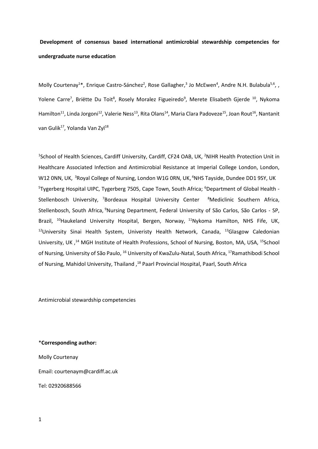# **Development of consensus based international antimicrobial stewardship competencies for undergraduate nurse education**

Molly Courtenay<sup>1\*</sup>, Enrique Castro-Sánchez<sup>2</sup>, Rose Gallagher,<sup>3</sup> Jo McEwen<sup>4</sup>, Andre N.H. Bulabula<sup>5,6</sup>, , Yolene Carre<sup>7</sup>, Briëtte Du Toit<sup>8</sup>, Rosely Moralez Figueiredo<sup>9</sup>, Merete Elisabeth Gjerde <sup>10</sup>, Nykoma Hamilton<sup>11</sup>, Linda Jorgoni<sup>12</sup>, Valerie Ness<sup>13</sup>, Rita Olans<sup>14</sup>, Maria Clara Padoveze<sup>15</sup>, Joan Rout<sup>16</sup>, Nantanit van Gulik<sup>17</sup>, Yolanda Van Zyl<sup>18</sup>

<sup>1</sup>School of Health Sciences, Cardiff University, Cardiff, CF24 OAB, UK, <sup>2</sup>NIHR Health Protection Unit in Healthcare Associated Infection and Antimicrobial Resistance at Imperial College London, London, W12 0NN, UK, <sup>3</sup>Royal College of Nursing, London W1G 0RN, UK, <sup>4</sup>NHS Tayside, Dundee DD1 9SY, UK <sup>5</sup>Tygerberg Hospital UIPC, Tygerberg 7505, Cape Town, South Africa; <sup>6</sup>Department of Global Health -Stellenbosch University, <sup>7</sup>Bordeaux Hospital University Center <sup>8</sup>Mediclinic Southern Africa, Stellenbosch, South Africa, <sup>9</sup>Nursing Department, Federal University of São Carlos, São Carlos - SP, Brazil, <sup>10</sup>Haukeland University Hospital, Bergen, Norway, <sup>11</sup>Nykoma Hamilton, NHS Fife, UK,  $12$ University Sinai Health System, Univeristy Health Network, Canada,  $13$ Glasgow Caledonian University, UK,<sup>14</sup> MGH Institute of Health Professions, School of Nursing, Boston, MA, USA, <sup>15</sup>School of Nursing, University of São Paulo, <sup>16</sup> University of KwaZulu-Natal, South Africa, <sup>17</sup>Ramathibodi School of Nursing, Mahidol University, Thailand,<sup>18</sup> Paarl Provincial Hospital, Paarl, South Africa

Antimicrobial stewardship competencies

\***Corresponding author:** 

Molly Courtenay Email: courtenaym@cardiff.ac.uk Tel: 02920688566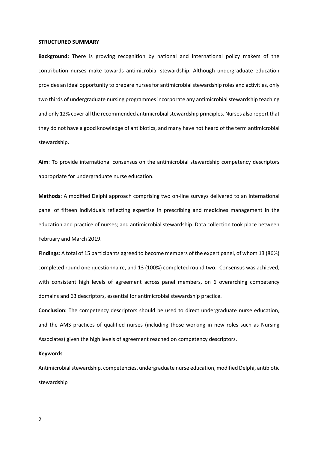#### **STRUCTURED SUMMARY**

**Background:** There is growing recognition by national and international policy makers of the contribution nurses make towards antimicrobial stewardship. Although undergraduate education provides an ideal opportunity to prepare nurses for antimicrobial stewardship roles and activities, only two thirds of undergraduate nursing programmes incorporate any antimicrobial stewardship teaching and only 12% cover all the recommended antimicrobial stewardship principles. Nurses also report that they do not have a good knowledge of antibiotics, and many have not heard of the term antimicrobial stewardship.

**Aim**: **T**o provide international consensus on the antimicrobial stewardship competency descriptors appropriate for undergraduate nurse education.

**Methods:** A modified Delphi approach comprising two on-line surveys delivered to an international panel of fifteen individuals reflecting expertise in prescribing and medicines management in the education and practice of nurses; and antimicrobial stewardship. Data collection took place between February and March 2019.

**Findings**: A total of 15 participants agreed to become members of the expert panel, of whom 13 (86%) completed round one questionnaire, and 13 (100%) completed round two. Consensus was achieved, with consistent high levels of agreement across panel members, on 6 overarching competency domains and 63 descriptors, essential for antimicrobial stewardship practice.

**Conclusion:** The competency descriptors should be used to direct undergraduate nurse education, and the AMS practices of qualified nurses (including those working in new roles such as Nursing Associates) given the high levels of agreement reached on competency descriptors.

# **Keywords**

Antimicrobial stewardship, competencies, undergraduate nurse education, modified Delphi, antibiotic stewardship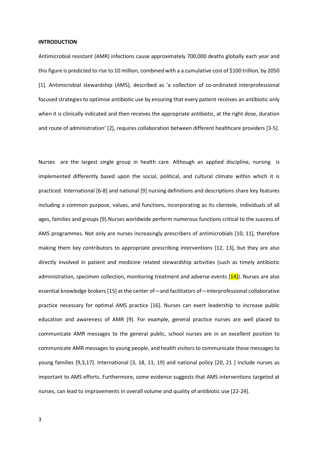#### **INTRODUCTION**

Antimicrobial resistant (AMR) infections cause approximately 700,000 deaths globally each year and this figure is predicted to rise to 10 million, combined with a a cumulative cost of \$100 trillion, by 2050 [1]. Antimicrobial stewardship (AMS), described as 'a collection of co-ordinated interprofessional focused strategies to optimise antibiotic use by ensuring that every patient receives an antibiotic only when it is clinically indicated and then receives the appropriate antibiotic, at the right dose, duration and route of administration' [2], requires collaboration between different healthcare providers [3-5].

Nurses are the largest single group in health care. Although an applied discipline, nursing is implemented differently based upon the social, political, and cultural climate within which it is practiced. International [6-8] and national [9] nursing definitions and descriptions share key features including a common purpose, values, and functions, incorporating as its clientele, individuals of all ages, families and groups [9].Nurses worldwide perform numerous functions critical to the success of AMS programmes. Not only are nurses increasingly prescribers of antimicrobials [10, 11], therefore making them key contributors to appropriate prescribing interventions [12, 13], but they are also directly involved in patient and medicine related stewardship activities (such as timely antibiotic administration, specimen collection, monitoring treatment and adverse events  $[14]$ . Nurses are also essential knowledge brokers [15] at the center of—and facilitators of—interprofessional collaborative practice necessary for optimal AMS practice [16]. Nurses can exert leadership to increase public education and awareness of AMR [9]. For example, general practice nurses are well placed to communicate AMR messages to the general public, school nurses are in an excellent position to communicate AMR messages to young people, and health visitors to communicate these messages to young families [9,3,17]. International [3, 18, 11, 19] and national policy [20, 21 ] include nurses as important to AMS efforts. Furthermore, some evidence suggests that AMS interventions targeted at nurses, can lead to improvements in overall volume and quality of antibiotic use [22-24].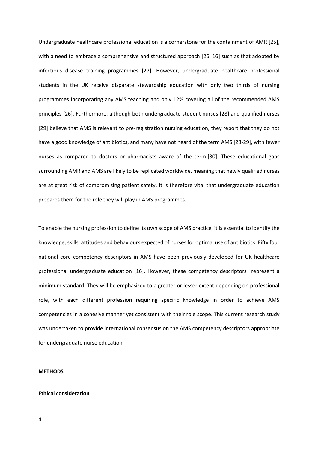Undergraduate healthcare professional education is a cornerstone for the containment of AMR [25], with a need to embrace a comprehensive and structured approach [26, 16] such as that adopted by infectious disease training programmes [27]. However, undergraduate healthcare professional students in the UK receive disparate stewardship education with only two thirds of nursing programmes incorporating any AMS teaching and only 12% covering all of the recommended AMS principles [26]. Furthermore, although both undergraduate student nurses [28] and qualified nurses [29] believe that AMS is relevant to pre-registration nursing education, they report that they do not have a good knowledge of antibiotics, and many have not heard of the term AMS [28-29], with fewer nurses as compared to doctors or pharmacists aware of the term.[30]. These educational gaps surrounding AMR and AMS are likely to be replicated worldwide, meaning that newly qualified nurses are at great risk of compromising patient safety. It is therefore vital that undergraduate education prepares them for the role they will play in AMS programmes.

To enable the nursing profession to define its own scope of AMS practice, it is essential to identify the knowledge, skills, attitudes and behaviours expected of nurses for optimal use of antibiotics. Fifty four national core competency descriptors in AMS have been previously developed for UK healthcare professional undergraduate education [16]. However, these competency descriptors represent a minimum standard. They will be emphasized to a greater or lesser extent depending on professional role, with each different profession requiring specific knowledge in order to achieve AMS competencies in a cohesive manner yet consistent with their role scope. This current research study was undertaken to provide international consensus on the AMS competency descriptors appropriate for undergraduate nurse education

# **METHODS**

# **Ethical consideration**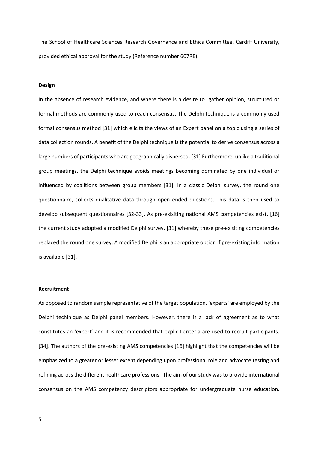The School of Healthcare Sciences Research Governance and Ethics Committee, Cardiff University, provided ethical approval for the study (Reference number 607RE).

# **Design**

In the absence of research evidence, and where there is a desire to gather opinion, structured or formal methods are commonly used to reach consensus. The Delphi technique is a commonly used formal consensus method [31] which elicits the views of an Expert panel on a topic using a series of data collection rounds. A benefit of the Delphi technique is the potential to derive consensus across a large numbers of participants who are geographically dispersed. [31] Furthermore, unlike a traditional group meetings, the Delphi technique avoids meetings becoming dominated by one individual or influenced by coalitions between group members [31]. In a classic Delphi survey, the round one questionnaire, collects qualitative data through open ended questions. This data is then used to develop subsequent questionnaires [32-33]. As pre-exisiting national AMS competencies exist, [16] the current study adopted a modified Delphi survey, [31] whereby these pre-exisiting competencies replaced the round one survey. A modified Delphi is an appropriate option if pre-existing information is available [31].

#### **Recruitment**

As opposed to random sample representative of the target population, 'experts' are employed by the Delphi techinique as Delphi panel members. However, there is a lack of agreement as to what constitutes an 'expert' and it is recommended that explicit criteria are used to recruit participants. [34]. The authors of the pre-existing AMS competencies [16] highlight that the competencies will be emphasized to a greater or lesser extent depending upon professional role and advocate testing and refining across the different healthcare professions. The aim of our study was to provide international consensus on the AMS competency descriptors appropriate for undergraduate nurse education.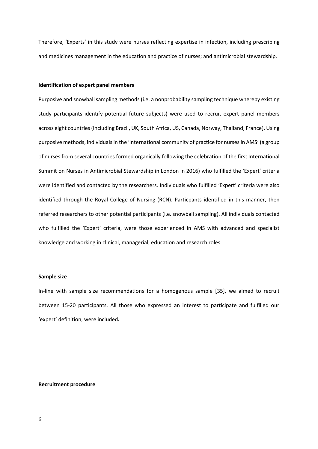Therefore, 'Experts' in this study were nurses reflecting expertise in infection, including prescribing and medicines management in the education and practice of nurses; and antimicrobial stewardship.

# **Identification of expert panel members**

Purposive and snowball sampling methods (i.e. a nonprobability sampling technique whereby existing study participants identify potential future subjects) were used to recruit expert panel members across eight countries (including Brazil, UK, South Africa, US, Canada, Norway, Thailand, France). Using purposive methods, individuals in the 'international community of practice for nurses in AMS' (a group of nurses from several countries formed organically following the celebration of the first International Summit on Nurses in Antimicrobial Stewardship in London in 2016) who fulfilled the 'Expert' criteria were identified and contacted by the researchers. Individuals who fulfilled 'Expert' criteria were also identified through the Royal College of Nursing (RCN). Particpants identified in this manner, then referred researchers to other potential participants (i.e. snowball sampling). All individuals contacted who fulfilled the 'Expert' criteria, were those experienced in AMS with advanced and specialist knowledge and working in clinical, managerial, education and research roles.

# **Sample size**

In-line with sample size recommendations for a homogenous sample [35], we aimed to recruit between 15-20 participants. All those who expressed an interest to participate and fulfilled our 'expert' definition, were included.

# **Recruitment procedure**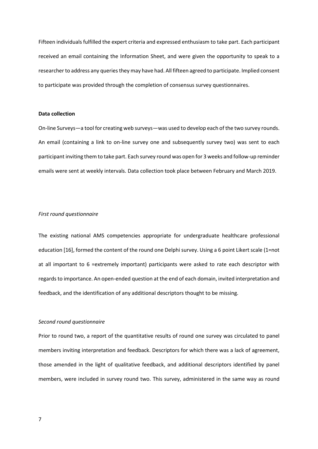Fifteen individuals fulfilled the expert criteria and expressed enthusiasm to take part. Each participant received an email containing the Information Sheet, and were given the opportunity to speak to a researcher to address any queries they may have had. All fifteen agreed to participate. Implied consent to participate was provided through the completion of consensus survey questionnaires.

#### **Data collection**

On-line Surveys—a tool for creating web surveys—was used to develop each of the two survey rounds. An email (containing a link to on-line survey one and subsequently survey two) was sent to each participant inviting them to take part. Each survey round was open for 3 weeks and follow-up reminder emails were sent at weekly intervals. Data collection took place between February and March 2019.

# *First round questionnaire*

The existing national AMS competencies appropriate for undergraduate healthcare professional education [16], formed the content of the round one Delphi survey. Using a 6 point Likert scale (1=not at all important to 6 =extremely important) participants were asked to rate each descriptor with regards to importance. An open-ended question at the end of each domain, invited interpretation and feedback, and the identification of any additional descriptors thought to be missing.

#### *Second round questionnaire*

Prior to round two, a report of the quantitative results of round one survey was circulated to panel members inviting interpretation and feedback. Descriptors for which there was a lack of agreement, those amended in the light of qualitative feedback, and additional descriptors identified by panel members, were included in survey round two. This survey, administered in the same way as round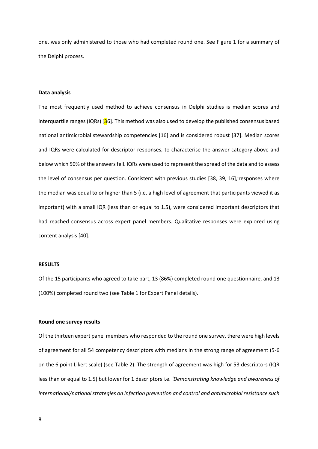one, was only administered to those who had completed round one. See Figure 1 for a summary of the Delphi process.

# **Data analysis**

The most frequently used method to achieve consensus in Delphi studies is median scores and interquartile ranges (IQRs)  $\overline{36}$ . This method was also used to develop the published consensus based national antimicrobial stewardship competencies [16] and is considered robust [37]. Median scores and IQRs were calculated for descriptor responses, to characterise the answer category above and below which 50% of the answers fell. IQRs were used to represent the spread of the data and to assess the level of consensus per question. Consistent with previous studies [38, 39, 16], responses where the median was equal to or higher than 5 (i.e. a high level of agreement that participants viewed it as important) with a small IQR (less than or equal to 1.5), were considered important descriptors that had reached consensus across expert panel members. Qualitative responses were explored using content analysis [40].

#### **RESULTS**

Of the 15 participants who agreed to take part, 13 (86%) completed round one questionnaire, and 13 (100%) completed round two (see Table 1 for Expert Panel details).

#### **Round one survey results**

Of the thirteen expert panel members who responded to the round one survey, there were high levels of agreement for all 54 competency descriptors with medians in the strong range of agreement (5-6 on the 6 point Likert scale) (see Table 2). The strength of agreement was high for 53 descriptors (IQR less than or equal to 1.5) but lower for 1 descriptors i.e. *'Demonstrating knowledge and awareness of international/national strategies on infection prevention and control and antimicrobial resistance such*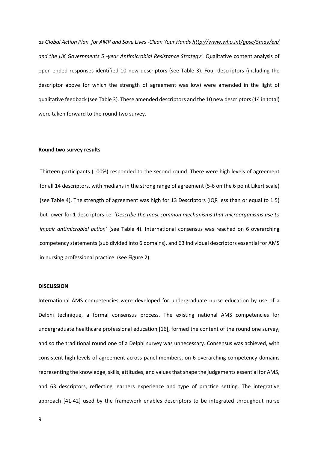*as Global Action Plan for AMR and Save Lives -Clean Your Hands<http://www.who.int/gpsc/5may/en/> and the UK Governments 5 -year Antimicrobial Resistance Strategy'*. Qualitative content analysis of open-ended responses identified 10 new descriptors (see Table 3). Four descriptors (including the descriptor above for which the strength of agreement was low) were amended in the light of qualitative feedback (see Table 3). These amended descriptors and the 10 new descriptors (14 in total) were taken forward to the round two survey.

# **Round two survey results**

Thirteen participants (100%) responded to the second round. There were high levels of agreement for all 14 descriptors, with medians in the strong range of agreement (5-6 on the 6 point Likert scale) (see Table 4). The strength of agreement was high for 13 Descriptors (IQR less than or equal to 1.5) but lower for 1 descriptors i.e. 'Describe the most common mechanisms that microorganisms use to *impair antimicrobial action'* (see Table 4). International consensus was reached on 6 overarching competency statements (sub divided into 6 domains), and 63 individual descriptors essential for AMS in nursing professional practice. (see Figure 2).

#### **DISCUSSION**

International AMS competencies were developed for undergraduate nurse education by use of a Delphi technique, a formal consensus process. The existing national AMS competencies for undergraduate healthcare professional education [16], formed the content of the round one survey, and so the traditional round one of a Delphi survey was unnecessary. Consensus was achieved, with consistent high levels of agreement across panel members, on 6 overarching competency domains representing the knowledge, skills, attitudes, and values that shape the judgements essential for AMS, and 63 descriptors, reflecting learners experience and type of practice setting. The integrative approach [41-42] used by the framework enables descriptors to be integrated throughout nurse

9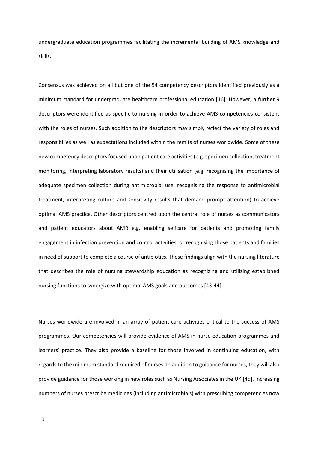undergraduate education programmes facilitating the incremental building of AMS knowledge and skills.

Consensus was achieved on all but one of the 54 competency descriptors identified previously as a minimum standard for undergraduate healthcare professional education [16]. However, a further 9 descriptors were identified as specific to nursing in order to achieve AMS competencies consistent with the roles of nurses. Such addition to the descriptors may simply reflect the variety of roles and responsibilies as well as expectations included within the remits of nurses worldwide. Some of these new competency descriptors focused upon patient care activities (e.g. specimen collection, treatment monitoring, interpreting laboratory results) and their utilisation (e.g. recognising the importance of adequate specimen collection during antimicrobial use, recognising the response to antimicrobial treatment, interpreting culture and sensitivity results that demand prompt attention) to achieve optimal AMS practice. Other descriptors centred upon the central role of nurses as communicators and patient educators about AMR e.g. enabling selfcare for patients and promoting family engagement in infection prevention and control activities, or recognising those patients and families in need of support to complete a course of antibiotics. These findings align with the nursing literature that describes the role of nursing stewardship education as recognizing and utilizing established nursing functions to synergize with optimal AMS goals and outcomes [43-44].

Nurses worldwide are involved in an array of patient care activities critical to the success of AMS programmes. Our competencies will provide evidence of AMS in nurse education programmes and learners' practice. They also provide a baseline for those involved in continuing education, with regards to the minimum standard required of nurses. In addition to guidance for nurses, they will also provide guidance for those working in new roles such as Nursing Associates in the UK [45]. Increasing numbers of nurses prescribe medicines (including antimicrobials) with prescribing competencies now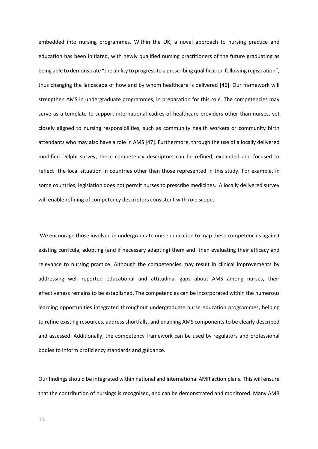embedded into nursing programmes. Within the UK, a novel approach to nursing practice and education has been initiated, with newly qualified nursing practitioners of the future graduating as being able to demonstrate "the ability to progress to a prescribing qualification following registration", thus changing the landscape of how and by whom healthcare is delivered [46]. Our framework will strengthen AMS in undergraduate programmes, in preparation for this role. The competencies may serve as a template to support international cadres of healthcare providers other than nurses, yet closely aligned to nursing responsibilities, such as community health workers or community birth attendants who may also have a role in AMS [47]. Furthermore, through the use of a locally delivered modified Delphi survey, these competency descriptors can be refined, expanded and focused to reflect the local situation in countries other than those represented in this study. For example, in some countries, legislation does not permit nurses to prescribe medicines. A locally delivered survey will enable refining of competency descriptors consistent with role scope.

 We encourage those involved in undergraduate nurse education to map these competencies against existing curricula, adopting (and if necessary adapting) them and then evaluating their efficacy and relevance to nursing practice. Although the competencies may result in clinical improvements by addressing well reported educational and attitudinal gaps about AMS among nurses, their effectiveness remains to be established. The competencies can be incorporated within the numerous learning opportunities integrated throughout undergraduate nurse education programmes, helping to refine existing resources, address shortfalls, and enabling AMS components to be clearly described and assessed. Additionally, the competency framework can be used by regulators and professional bodies to inform proficiency standards and guidance.

Our findings should be integrated within national and international AMR action plans. This will ensure that the contribution of nursings is recognised, and can be demonstrated and monitored. Many AMR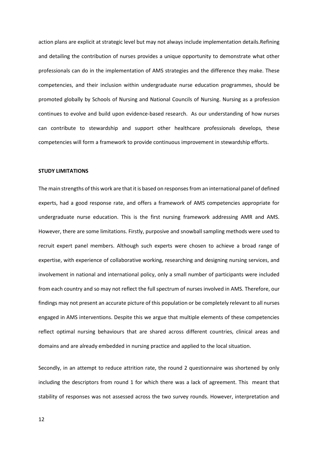action plans are explicit at strategic level but may not always include implementation details.Refining and detailing the contribution of nurses provides a unique opportunity to demonstrate what other professionals can do in the implementation of AMS strategies and the difference they make. These competencies, and their inclusion within undergraduate nurse education programmes, should be promoted globally by Schools of Nursing and National Councils of Nursing. Nursing as a profession continues to evolve and build upon evidence-based research. As our understanding of how nurses can contribute to stewardship and support other healthcare professionals develops, these competencies will form a framework to provide continuous improvement in stewardship efforts.

#### **STUDY LIMITATIONS**

The main strengths of this work are that it is based on responses from an international panel of defined experts, had a good response rate, and offers a framework of AMS competencies appropriate for undergraduate nurse education. This is the first nursing framework addressing AMR and AMS. However, there are some limitations. Firstly, purposive and snowball sampling methods were used to recruit expert panel members. Although such experts were chosen to achieve a broad range of expertise, with experience of collaborative working, researching and designing nursing services, and involvement in national and international policy, only a small number of participants were included from each country and so may not reflect the full spectrum of nurses involved in AMS. Therefore, our findings may not present an accurate picture of this population or be completely relevant to all nurses engaged in AMS interventions. Despite this we argue that multiple elements of these competencies reflect optimal nursing behaviours that are shared across different countries, clinical areas and domains and are already embedded in nursing practice and applied to the local situation.

Secondly, in an attempt to reduce attrition rate, the round 2 questionnaire was shortened by only including the descriptors from round 1 for which there was a lack of agreement. This meant that stability of responses was not assessed across the two survey rounds. However, interpretation and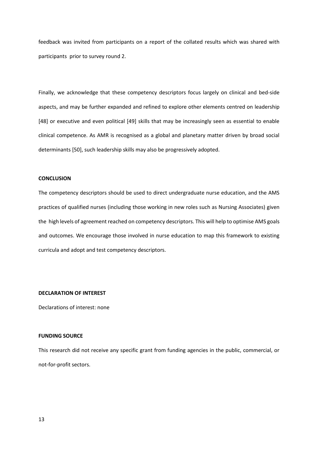feedback was invited from participants on a report of the collated results which was shared with participants prior to survey round 2.

Finally, we acknowledge that these competency descriptors focus largely on clinical and bed-side aspects, and may be further expanded and refined to explore other elements centred on leadership [48] or executive and even political [49] skills that may be increasingly seen as essential to enable clinical competence. As AMR is recognised as a global and planetary matter driven by broad social determinants [50], such leadership skills may also be progressively adopted.

# **CONCLUSION**

The competency descriptors should be used to direct undergraduate nurse education, and the AMS practices of qualified nurses (including those working in new roles such as Nursing Associates) given the high levels of agreement reached on competency descriptors. This will help to optimise AMS goals and outcomes. We encourage those involved in nurse education to map this framework to existing curricula and adopt and test competency descriptors.

#### **DECLARATION OF INTEREST**

Declarations of interest: none

# **FUNDING SOURCE**

This research did not receive any specific grant from funding agencies in the public, commercial, or not-for-profit sectors.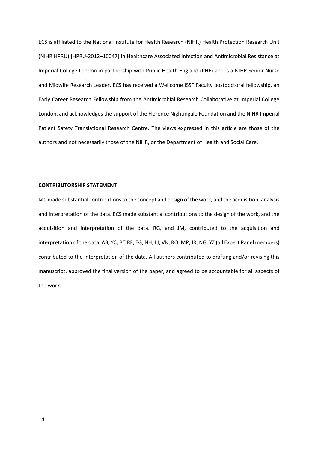ECS is affiliated to the National Institute for Health Research (NIHR) Health Protection Research Unit (NIHR HPRU) [HPRU-2012–10047] in Healthcare Associated Infection and Antimicrobial Resistance at Imperial College London in partnership with Public Health England (PHE) and is a NIHR Senior Nurse and Midwife Research Leader. ECS has received a Wellcome ISSF Faculty postdoctoral fellowship, an Early Career Research Fellowship from the Antimicrobial Research Collaborative at Imperial College London, and acknowledges the support of the Florence Nightingale Foundation and the NIHR Imperial Patient Safety Translational Research Centre. The views expressed in this article are those of the authors and not necessarily those of the NIHR, or the Department of Health and Social Care.

## **CONTRIBUTORSHIP STATEMENT**

MC made substantial contributions to the concept and design of the work, and the acquisition, analysis and interpretation of the data. ECS made substantial contributions to the design of the work, and the acquisition and interpretation of the data. RG, and JM, contributed to the acquisition and interpretation of the data. AB, YC, BT,RF, EG, NH, LJ, VN, RO, MP, JR, NG, YZ (all Expert Panel members) contributed to the interpretation of the data. All authors contributed to drafting and/or revising this manuscript, approved the final version of the paper, and agreed to be accountable for all aspects of the work.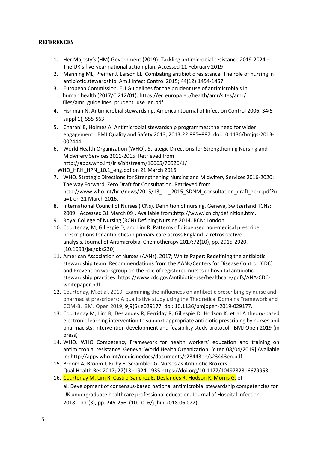# **REFERENCES**

- 1. Her Majesty's (HM) Government (2019). Tackling antimicrobial resistance 2019-2024 The UK's five-year national action plan. Accessed 11 February 2019
- 2. Manning ML, Pfeiffer J, Larson EL. Combating antibiotic resistance: The role of nursing in antibiotic stewardship. Am J Infect Control 2015; 44(12):1454-1457
- 3. European Commission. EU Guidelines for the prudent use of antimicrobials in human health (2017/C 212/01). https://ec.europa.eu/health/amr/sites/amr/ files/amr\_guidelines\_prudent\_use\_en.pdf.
- 4. Fishman N. Antimicrobial stewardship. American Journal of Infection Control 2006*;* 34(5 suppl 1), S55-S63.
- 5. Charani E, Holmes A. Antimicrobial stewardship programmes: the need for wider engagement. BMJ Quality and Safety 2013; 2013;22:885–887. doi:10.1136/bmjqs-2013- 002444
- 6. World Health Organization (WHO). Strategic Directions for Strengthening Nursing and Midwifery Services 2011-2015. Retrieved from http://apps.who.int/iris/bitstream/10665/70526/1/ WHO\_HRH\_HPN\_10.1\_eng.pdf on 21 March 2016.
- 7. WHO. Strategic Directions for Strengthening Nursing and Midwifery Services 2016-2020: The way Forward. Zero Draft for Consultation. Retrieved from http://www.who.int/hrh/news/2015/13\_11\_2015\_SDNM\_consultation\_draft\_zero.pdf?u a=1 on 21 March 2016.
- 8. International Council of Nurses (ICNs). Definition of nursing. Geneva, Switzerland: ICNs; 2009. [Accessed 31 March 09]. Available from[:http://www.icn.ch/definition.htm.](http://www.icn.ch/definition.htm)
- 9. Royal College of Nursing (RCN).Defining Nursing 2014. RCN: London
- 10. Courtenay, M, Gillespie D, and Lim R. [Patterns of dispensed non-medical prescriber](http://orca.cf.ac.uk/103163)  [prescriptions for antibiotics in primary care across England: a retrospective](http://orca.cf.ac.uk/103163)  [analysis.](http://orca.cf.ac.uk/103163) Journal of Antimicrobial Chemotherapy 2017;72(10), pp. 2915-2920. [\(10.1093/jac/dkx230\)](http://dx.doi.org/10.1093/jac/dkx230)
- 11. American Association of Nurses (AANs). 2017; White Paper: Redefining the antibiotic stewardship team: Recommendations from the AANs/Centers for Disease Control (CDC) and Prevention workgroup on the role of registered nurses in hospital antibiotic stewardship practices. [https://www.cdc.gov/antibiotic-use/healthcare/pdfs/ANA-CDC](https://www.cdc.gov/antibiotic-use/healthcare/pdfs/ANA-CDC-whitepaper.pdf)[whitepaper.pdf](https://www.cdc.gov/antibiotic-use/healthcare/pdfs/ANA-CDC-whitepaper.pdf)
- 12. Courtenay, M.et al. 2019. Examining the influences on antibiotic prescribing by nurse and pharmacist prescribers: A qualitative study using the Theoretical Domains Framework and COM-B. BMJ Open 2019; 9;9(6):e029177. doi: 10.1136/bmjopen-2019-029177.
- 13. Courtenay M, Lim R, Deslandes R, Ferriday R, Gillespie D, Hodson K, et al A theory-based electronic learning intervention to support appropriate antibiotic prescribing by nurses and pharmacists: intervention development and feasibility study protocol. BMJ Open 2019 (in press)
- 14. WHO. WHO Competency Framework for health workers' education and training on antimicrobial resistance. Geneva: World Health Organization. [cited 08/04/2019] Available in:<http://apps.who.int/medicinedocs/documents/s23443en/s23443en.pdf>
- 15. Broom A, Broom J, Kirby E, Scrambler G. Nurses as Antibiotic Brokers. [Qual Health Res](https://www.ncbi.nlm.nih.gov/pubmed/27909252) 2017; 27(13):1924-1935<https://doi.org/10.1177/1049732316679953>
- 16. Courtenay M, Lim R, Castro-Sanchez E, Deslandes R, Hodson K, Morris G, et al[. Development of consensus-based national antimicrobial stewardship competencies for](http://orca.cf.ac.uk/114105)  [UK undergraduate healthcare professional education.](http://orca.cf.ac.uk/114105) Journal of Hospital Infection 2018; 100(3), pp. 245-256. [\(10.1016/j.jhin.2018.06.022\)](http://dx.doi.org/10.1016/j.jhin.2018.06.022)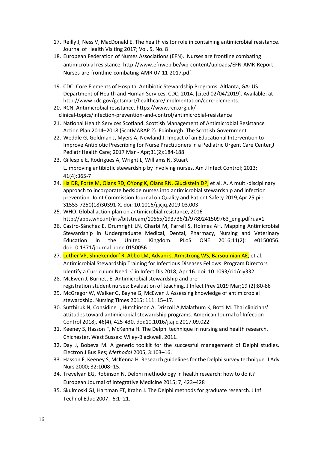- 17. [Reilly](https://www.magonlinelibrary.com/doi/abs/10.12968/johv.2017.5.8.386) J, Ness V, MacDonald E. [The health visitor role in containing antimicrobial resistance.](https://www.magonlinelibrary.com/doi/full/10.12968/johv.2017.5.8.386) [Journal of Health Visiting](https://www.magonlinelibrary.com/journal/johv) 2017; [Vol. 5, No. 8](https://www.magonlinelibrary.com/toc/johv/5/8)
- 18. European Federation of Nurses Associations (EFN). Nurses are frontline combating antimicrobial resistance[. http://www.efnweb.be/wp-content/uploads/EFN-AMR-Report-](http://www.efnweb.be/wp-content/uploads/EFN-AMR-Report-Nurses-are-frontline-combating-AMR-07-11-2017.pdf)[Nurses-are-frontline-combating-AMR-07-11-2017.pdf](http://www.efnweb.be/wp-content/uploads/EFN-AMR-Report-Nurses-are-frontline-combating-AMR-07-11-2017.pdf)
- 19. CDC. Core Elements of Hospital Antibiotic Stewardship Programs. Altlanta, GA: US Department of Health and Human Services, CDC; 2014. [cited 02/04/2019]. Available: at http://www.cdc.gov/getsmart/healthcare/implmentation/core-elements.
- 20. RCN. Antimicrobial resistance. https://www.rcn.org.uk/ clinical-topics/infection-prevention-and-control/antimicrobial-resistance
- 21. National Health Services Scotland. Scottish Management of Antimicrobial Resistance Action Plan 2014–2018 (ScotMARAP 2). Edinburgh: The Scottish Government
- 22. [Weddle G,](https://www.ncbi.nlm.nih.gov/pubmed/?term=Weddle%20G%5BAuthor%5D&cauthor=true&cauthor_uid=27567148) [Goldman J,](https://www.ncbi.nlm.nih.gov/pubmed/?term=Goldman%20J%5BAuthor%5D&cauthor=true&cauthor_uid=27567148) [Myers A,](https://www.ncbi.nlm.nih.gov/pubmed/?term=Myers%20A%5BAuthor%5D&cauthor=true&cauthor_uid=27567148) [Newland J.](https://www.ncbi.nlm.nih.gov/pubmed/?term=Newland%20J%5BAuthor%5D&cauthor=true&cauthor_uid=27567148) Impact of an Educational Intervention to Improve Antibiotic Prescribing for Nurse Practitioners in a Pediatric Urgent Care Cente[r J](https://www.ncbi.nlm.nih.gov/pubmed/27567148)  [Pediatr Health Care;](https://www.ncbi.nlm.nih.gov/pubmed/27567148) 2017 Mar - Apr;31(2):184-188
- 23. [Gillespie E,](https://www.ncbi.nlm.nih.gov/pubmed/?term=Gillespie%20E%5BAuthor%5D&cauthor=true&cauthor_uid=23069737) [Rodrigues A,](https://www.ncbi.nlm.nih.gov/pubmed/?term=Rodrigues%20A%5BAuthor%5D&cauthor=true&cauthor_uid=23069737) [Wright L,](https://www.ncbi.nlm.nih.gov/pubmed/?term=Wright%20L%5BAuthor%5D&cauthor=true&cauthor_uid=23069737) [Williams N,](https://www.ncbi.nlm.nih.gov/pubmed/?term=Williams%20N%5BAuthor%5D&cauthor=true&cauthor_uid=23069737) [Stuart](https://www.ncbi.nlm.nih.gov/pubmed/?term=Stuart%20RL%5BAuthor%5D&cauthor=true&cauthor_uid=23069737)  [L.](https://www.ncbi.nlm.nih.gov/pubmed/?term=Stuart%20RL%5BAuthor%5D&cauthor=true&cauthor_uid=23069737)Improving antibiotic stewardship by involving nurses. Am J Infect Control; 2013; 41(4):365-7
- 24. Ha DR, Forte M, Olans RD, OYong K, Olans RN, Gluckstein DP, et al. A. A multi-disciplinary approach to incorporate bedside nurses into antimicrobial stewardship and infection prevention. Joint Commission Journal on Quality and Patient Safety 2019;Apr 25.pii: S1553-7250(18)30391-X. doi: 10.1016/j.jcjq.2019.03.003
- 25. WHO. Global action plan on antimicrobial resistance, 2016 [http://apps.who.int/iris/bitstream/10665/193736/1/9789241509763\\_eng.pdf?ua=1](http://apps.who.int/iris/bitstream/10665/193736/1/9789241509763_eng.pdf?ua=1)
- 26. Castro-Sánchez E, Drumright LN, Gharbi M, Farrell S, Holmes AH. Mapping Antimicrobial Stewardship in Undergraduate Medical, Dental, Pharmacy, Nursing and Veterinary Education in the United Kingdom. PLoS ONE 2016;11(2): e0150056. doi:10.1371/journal.pone.0150056
- 27. [Luther VP,](https://www.ncbi.nlm.nih.gov/pubmed/?term=Luther%20VP%5BAuthor%5D&cauthor=true&cauthor_uid=29668905) [Shnekendorf R,](https://www.ncbi.nlm.nih.gov/pubmed/?term=Shnekendorf%20R%5BAuthor%5D&cauthor=true&cauthor_uid=29668905) [Abbo LM,](https://www.ncbi.nlm.nih.gov/pubmed/?term=Abbo%20LM%5BAuthor%5D&cauthor=true&cauthor_uid=29668905) Advani s, Armstrong WS, Barsoumian AE, et al. Antimicrobial Stewardship Training for Infectious Diseases Fellows: Program Directors Identify a Curriculum Need. [Clin Infect Dis](https://www.ncbi.nlm.nih.gov/pubmed/29668905) 2018; Apr 16. doi: 10.1093/cid/ciy332
- 28. [McEwen J,](https://www.ncbi.nlm.nih.gov/pubmed/?term=McEwen%20J%5BAuthor%5D&cauthor=true&cauthor_uid=29552098) [Burnett E.](https://www.ncbi.nlm.nih.gov/pubmed/?term=Burnett%20E%5BAuthor%5D&cauthor=true&cauthor_uid=29552098) Antimicrobial stewardship and preregistration student nurses: Evaluation of teaching. J Infect Prev 2019 Mar;19 (2):80-86
- 29. McGregor W, Walker G, Bayne G, McEwen J. Assessing knowledge of antimicrobial stewardship. Nursing Times 2015; 111: 15–17.
- 30. Sutthiruk N, Considine J, Hutchinson A, Driscoll A,Malathum K, Botti M. Thai clinicians' attitudes toward antimicrobial stewardship programs. American Journal of Infection Control 2018;, 46(4), 425-430. doi:10.1016/j.ajic.2017.09.022
- 31. Keeney S, Hasson F, McKenna H. The Delphi technique in nursing and health research. Chichester, West Sussex: Wiley-Blackwell. 2011.
- 32. Day J, Bobeva M. A generic toolkit for the successful management of Delphi studies. Electron J Bus Res; *Methodol* 2005, 3:103–16.
- 33. Hasson F, Keeney S, McKenna H. Research guidelines for the Delphi survey technique. J Adv Nurs 2000; 32:1008–15.
- 34. Trevelyan EG, Robinson N. Delphi methodology in health research: how to do it? European Journal of Integrative Medicine 2015; 7, 423–428
- 35. Skulmoski GJ, Hartman FT, Krahn J. The Delphi methods for graduate research. J Inf Technol Educ 2007; 6:1–21.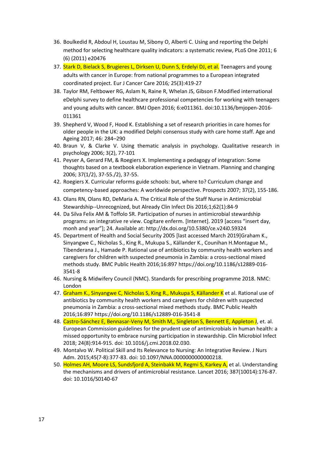- 36. Boulkedid R, Abdoul H, Loustau M, Sibony O, Alberti C. Using and reporting the Delphi method for selecting healthcare quality indicators: a systematic review, PLoS One 2011; 6 (6) (2011) e20476
- 37. Stark D, Bielack S, Brugieres L, Dirksen U, Dunn S, Erdelyi DJ, et al. Teenagers and young adults with cancer in Europe: from national programmes to a European integrated coordinated project. Eur J Cancer Care 2016*;* 25(3):419-27
- 38. Taylor RM, Feltbower RG, Aslam N, Raine R, Whelan JS, Gibson F.Modified international eDelphi survey to define healthcare professional competencies for working with teenagers and young adults with cancer. BMJ Open 2016; 6:e011361. doi:10.1136/bmjopen-2016- 011361
- 39. Shepherd V, Wood F, Hood K. Establishing a set of research priorities in care homes for older people in the UK: a modified Delphi consensus study with care home staff. Age and Ageing 2017; 46: 284–290
- 40. Braun V, & Clarke V. Using thematic analysis in psychology. Qualitative research in psychology 2006; 3(2), 77-101
- 41. Peyser A, Gerard FM, & Roegiers X. Implementing a pedagogy of integration: Some thoughts based on a textbook elaboration experience in Vietnam. Planning and changing 2006; 37(1/2), 37-55./2), 37-55.
- 42. Roegiers X. Curricular reforms guide schools: but, where to? Curriculum change and competency-based approaches: A worldwide perspective. Prospects 2007; 37(2), 155-186.
- 43. [Olans RN,](https://www.ncbi.nlm.nih.gov/pubmed/?term=Olans%20RN%5BAuthor%5D&cauthor=true&cauthor_uid=26265496) [Olans RD,](https://www.ncbi.nlm.nih.gov/pubmed/?term=Olans%20RD%5BAuthor%5D&cauthor=true&cauthor_uid=26265496) [DeMaria A.](https://www.ncbi.nlm.nih.gov/pubmed/?term=DeMaria%20A%20Jr%5BAuthor%5D&cauthor=true&cauthor_uid=26265496) The Critical Role of the Staff Nurse in Antimicrobial Stewardship--Unrecognized, but Already Clin Infect Dis 2016;1;62(1):84-9
- 44. Da Silva Felix AM & Toffolo SR. Participation of nurses in antimicrobial stewardship programs: an integrative re view. Cogitare enferm. [Internet]. 2019 [access "insert day. monh and year"]; 24. Available at: http://dx.doi.org/10.5380/ce.v24i0.59324
- 45. Department of Health and Social Security 2005 [last accessed March 2019]Graham K., Sinyangwe C., Nicholas S., King R., Mukupa S., Källander K., Counihan H.Montague M., Tibenderana J., Hamade P. Rational use of antibiotics by community health workers and caregivers for children with suspected pneumonia in Zambia: a cross-sectional mixed methods study. BMC Public Health 2016;16:897 [https://doi.org/10.1186/s12889-016-](https://doi.org/10.1186/s12889-016-3541-8) [3541-8](https://doi.org/10.1186/s12889-016-3541-8)
- 46. Nursing & Midwifery Council (NMC). Standards for prescribing programme 2018. NMC: London
- 47. Graham K., Sinyangwe C, Nicholas S, King R., Mukupa S, Källander K et al. Rational use of antibiotics by community health workers and caregivers for children with suspected pneumonia in Zambia: a cross-sectional mixed methods study. BMC Public Health 2016;16:897<https://doi.org/10.1186/s12889-016-3541-8>
- 48. Castro-Sánchez E, Bennasar-Veny M, Smith M,, Singleton S, Bennett E, Appleton J, et. al. European Commission guidelines for the prudent use of antimicrobials in human health: a missed opportunity to embrace nursing participation in stewardship. Clin Microbiol Infect 2018; 24(8):914-915. doi: 10.1016/j.cmi.2018.02.030.
- 49. Montalvo W. Political Skill and Its Relevance to Nursing: An Integrative Review. J Nurs Adm. 2015;45(7-8):377-83. doi: 10.1097/NNA.0000000000000218.
- 50. Holmes AH, Moore LS, Sundsfjord A, Steinbakk M, Regmi S, Karkey A, et al. Understanding the mechanisms and drivers of antimicrobial resistance. Lancet 2016; 387(10014):176-87. doi: 10.1016/S0140-67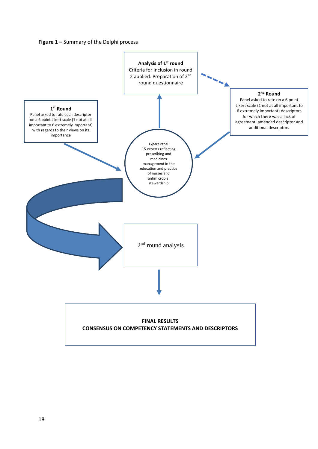

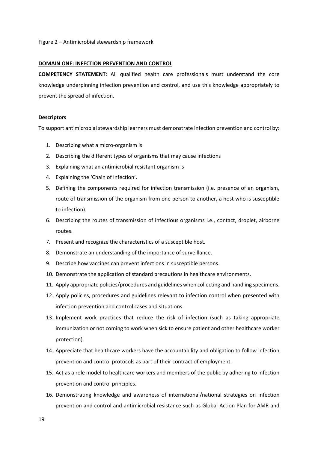#### **DOMAIN ONE: INFECTION PREVENTION AND CONTROL**

**COMPETENCY STATEMENT**: All qualified health care professionals must understand the core knowledge underpinning infection prevention and control, and use this knowledge appropriately to prevent the spread of infection.

# **Descriptors**

To support antimicrobial stewardship learners must demonstrate infection prevention and control by:

- 1. Describing what a micro-organism is
- 2. Describing the different types of organisms that may cause infections
- 3. Explaining what an antimicrobial resistant organism is
- 4. Explaining the 'Chain of Infection'.
- 5. Defining the components required for infection transmission (i.e. presence of an organism, route of transmission of the organism from one person to another, a host who is susceptible to infection).
- 6. Describing the routes of transmission of infectious organisms i.e., contact, droplet, airborne routes.
- 7. Present and recognize the characteristics of a susceptible host.
- 8. Demonstrate an understanding of the importance of surveillance.
- 9. Describe how vaccines can prevent infections in susceptible persons.
- 10. Demonstrate the application of standard precautions in healthcare environments.
- 11. Apply appropriate policies/procedures and guidelines when collecting and handling specimens.
- 12. Apply policies, procedures and guidelines relevant to infection control when presented with infection prevention and control cases and situations.
- 13. Implement work practices that reduce the risk of infection (such as taking appropriate immunization or not coming to work when sick to ensure patient and other healthcare worker protection).
- 14. Appreciate that healthcare workers have the accountability and obligation to follow infection prevention and control protocols as part of their contract of employment.
- 15. Act as a role model to healthcare workers and members of the public by adhering to infection prevention and control principles.
- 16. Demonstrating knowledge and awareness of international/national strategies on infection prevention and control and antimicrobial resistance such as Global Action Plan for AMR and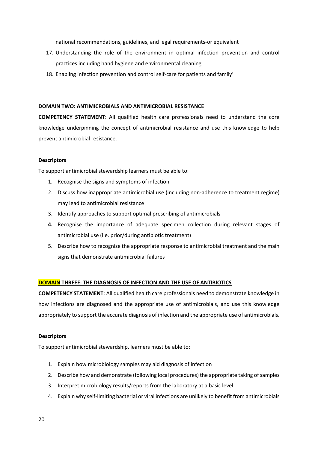national recommendations, guidelines, and legal requirements-or equivalent

- 17. Understanding the role of the environment in optimal infection prevention and control practices including hand hygiene and environmental cleaning
- 18. Enabling infection prevention and control self-care for patients and family'

# **DOMAIN TWO: ANTIMICROBIALS AND ANTIMICROBIAL RESISTANCE**

**COMPETENCY STATEMENT**: All qualified health care professionals need to understand the core knowledge underpinning the concept of antimicrobial resistance and use this knowledge to help prevent antimicrobial resistance.

# **Descriptors**

To support antimicrobial stewardship learners must be able to:

- 1. Recognise the signs and symptoms of infection
- 2. Discuss how inappropriate antimicrobial use (including non-adherence to treatment regime) may lead to antimicrobial resistance
- 3. Identify approaches to support optimal prescribing of antimicrobials
- **4.** Recognise the importance of adequate specimen collection during relevant stages of antimicrobial use (i.e. prior/during antibiotic treatment)
- 5. Describe how to recognize the appropriate response to antimicrobial treatment and the main signs that demonstrate antimicrobial failures

# **DOMAIN THREEE: THE DIAGNOSIS OF INFECTION AND THE USE OF ANTIBIOTICS**

**COMPETENCY STATEMENT**: All qualified health care professionals need to demonstrate knowledge in how infections are diagnosed and the appropriate use of antimicrobials, and use this knowledge appropriately to support the accurate diagnosis of infection and the appropriate use of antimicrobials.

# **Descriptors**

To support antimicrobial stewardship, learners must be able to:

- 1. Explain how microbiology samples may aid diagnosis of infection
- 2. Describe how and demonstrate (following local procedures) the appropriate taking of samples
- 3. Interpret microbiology results/reports from the laboratory at a basic level
- 4. Explain why self-limiting bacterial or viral infections are unlikely to benefit from antimicrobials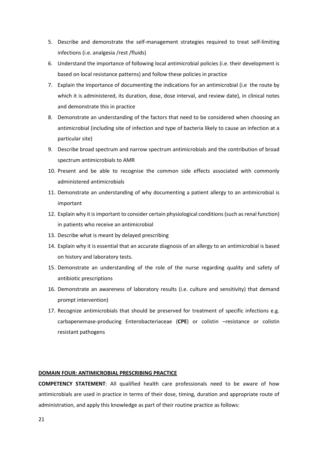- 5. Describe and demonstrate the self-management strategies required to treat self-limiting infections (i.e. analgesia /rest /fluids)
- 6. Understand the importance of following local antimicrobial policies (i.e. their development is based on local resistance patterns) and follow these policies in practice
- 7. Explain the importance of documenting the indications for an antimicrobial (i.e the route by which it is administered, its duration, dose, dose interval, and review date), in clinical notes and demonstrate this in practice
- 8. Demonstrate an understanding of the factors that need to be considered when choosing an antimicrobial (including site of infection and type of bacteria likely to cause an infection at a particular site)
- 9. Describe broad spectrum and narrow spectrum antimicrobials and the contribution of broad spectrum antimicrobials to AMR
- 10. Present and be able to recognise the common side effects associated with commonly administered antimicrobials
- 11. Demonstrate an understanding of why documenting a patient allergy to an antimicrobial is important
- 12. Explain why it is important to consider certain physiological conditions (such as renal function) in patients who receive an antimicrobial
- 13. Describe what is meant by delayed prescribing
- 14. Explain why it is essential that an accurate diagnosis of an allergy to an antimicrobial is based on history and laboratory tests.
- 15. Demonstrate an understanding of the role of the nurse regarding quality and safety of antibiotic prescriptions
- 16. Demonstrate an awareness of laboratory results (i.e. culture and sensitivity) that demand prompt intervention)
- 17. Recognize antimicrobials that should be preserved for treatment of specific infections e.g. carbapenemase-producing Enterobacteriaceae (**CPE**) or colistin –resistance or colistin resistant pathogens

# **DOMAIN FOUR: ANTIMICROBIAL PRESCRIBING PRACTICE**

**COMPETENCY STATEMENT**: All qualified health care professionals need to be aware of how antimicrobials are used in practice in terms of their dose, timing, duration and appropriate route of administration, and apply this knowledge as part of their routine practice as follows: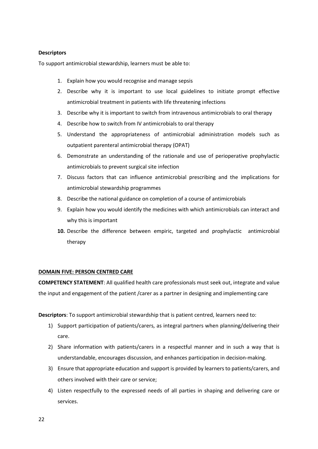# **Descriptors**

To support antimicrobial stewardship, learners must be able to:

- 1. Explain how you would recognise and manage sepsis
- 2. Describe why it is important to use local guidelines to initiate prompt effective antimicrobial treatment in patients with life threatening infections
- 3. Describe why it is important to switch from intravenous antimicrobials to oral therapy
- 4. Describe how to switch from IV antimicrobials to oral therapy
- 5. Understand the appropriateness of antimicrobial administration models such as outpatient parenteral antimicrobial therapy (OPAT)
- 6. Demonstrate an understanding of the rationale and use of perioperative prophylactic antimicrobials to prevent surgical site infection
- 7. Discuss factors that can influence antimicrobial prescribing and the implications for antimicrobial stewardship programmes
- 8. Describe the national guidance on completion of a course of antimicrobials
- 9. Explain how you would identify the medicines with which antimicrobials can interact and why this is important
- **10.** Describe the difference between empiric, targeted and prophylactic antimicrobial therapy

# **DOMAIN FIVE: PERSON CENTRED CARE**

**COMPETENCY STATEMENT**: All qualified health care professionals must seek out, integrate and value the input and engagement of the patient /carer as a partner in designing and implementing care

**Descriptors**: To support antimicrobial stewardship that is patient centred, learners need to:

- 1) Support participation of patients/carers, as integral partners when planning/delivering their care.
- 2) Share information with patients/carers in a respectful manner and in such a way that is understandable, encourages discussion, and enhances participation in decision-making.
- 3) Ensure that appropriate education and support is provided by learners to patients/carers, and others involved with their care or service;
- 4) Listen respectfully to the expressed needs of all parties in shaping and delivering care or services.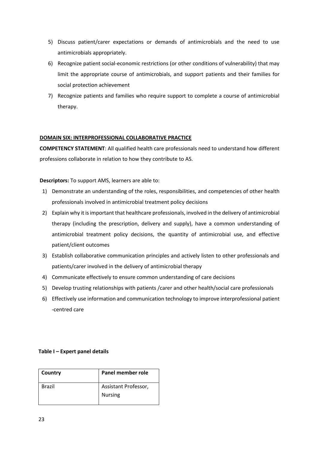- 5) Discuss patient/carer expectations or demands of antimicrobials and the need to use antimicrobials appropriately.
- 6) Recognize patient social-economic restrictions (or other conditions of vulnerability) that may limit the appropriate course of antimicrobials, and support patients and their families for social protection achievement
- 7) Recognize patients and families who require support to complete a course of antimicrobial therapy.

# **DOMAIN SIX: INTERPROFESSIONAL COLLABORATIVE PRACTICE**

**COMPETENCY STATEMENT**: All qualified health care professionals need to understand how different professions collaborate in relation to how they contribute to AS.

# **Descriptors:** To support AMS, learners are able to:

- 1) Demonstrate an understanding of the roles, responsibilities, and competencies of other health professionals involved in antimicrobial treatment policy decisions
- 2) Explain why it is important that healthcare professionals, involved in the delivery of antimicrobial therapy (including the prescription, delivery and supply), have a common understanding of antimicrobial treatment policy decisions, the quantity of antimicrobial use, and effective patient/client outcomes
- 3) Establish collaborative communication principles and actively listen to other professionals and patients/carer involved in the delivery of antimicrobial therapy
- 4) Communicate effectively to ensure common understanding of care decisions
- 5) Develop trusting relationships with patients /carer and other health/social care professionals
- 6) Effectively use information and communication technology to improve interprofessional patient -centred care

# **Table I – Expert panel details**

| Country | Panel member role    |  |
|---------|----------------------|--|
| Brazil  | Assistant Professor, |  |
|         | <b>Nursing</b>       |  |
|         |                      |  |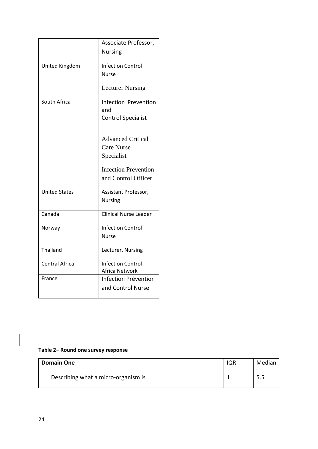|                      | Associate Professor,         |
|----------------------|------------------------------|
|                      | <b>Nursing</b>               |
| United Kingdom       | <b>Infection Control</b>     |
|                      | <b>Nurse</b>                 |
|                      | <b>Lecturer Nursing</b>      |
| South Africa         | <b>Infection Prevention</b>  |
|                      | and                          |
|                      | <b>Control Specialist</b>    |
|                      |                              |
|                      | <b>Advanced Critical</b>     |
|                      | <b>Care Nurse</b>            |
|                      | Specialist                   |
|                      | <b>Infection Prevention</b>  |
|                      | and Control Officer          |
| <b>United States</b> | Assistant Professor,         |
|                      | <b>Nursing</b>               |
| Canada               | <b>Clinical Nurse Leader</b> |
| Norway               | <b>Infection Control</b>     |
|                      | <b>Nurse</b>                 |
| Thailand             | Lecturer, Nursing            |
| Central Africa       | <b>Infection Control</b>     |
|                      | Africa Network               |
| France               | Infection Prévention         |
|                      | and Control Nurse            |
|                      |                              |

# **Table 2– Round one survey response**

| <b>Domain One</b>                   | IQR | Median |
|-------------------------------------|-----|--------|
| Describing what a micro-organism is |     | 5.5    |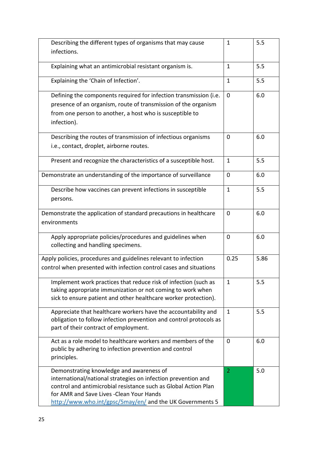| Describing the different types of organisms that may cause                                             |              | 5.5  |
|--------------------------------------------------------------------------------------------------------|--------------|------|
| infections.                                                                                            |              |      |
| Explaining what an antimicrobial resistant organism is.                                                | $\mathbf{1}$ | 5.5  |
| Explaining the 'Chain of Infection'.                                                                   | $\mathbf{1}$ | 5.5  |
| Defining the components required for infection transmission (i.e.                                      | $\Omega$     | 6.0  |
| presence of an organism, route of transmission of the organism                                         |              |      |
| from one person to another, a host who is susceptible to                                               |              |      |
| infection).                                                                                            |              |      |
| Describing the routes of transmission of infectious organisms                                          | 0            | 6.0  |
| i.e., contact, droplet, airborne routes.                                                               |              |      |
| Present and recognize the characteristics of a susceptible host.                                       | $\mathbf{1}$ | 5.5  |
| Demonstrate an understanding of the importance of surveillance                                         | $\mathbf 0$  | 6.0  |
| Describe how vaccines can prevent infections in susceptible                                            | 1            | 5.5  |
| persons.                                                                                               |              |      |
| Demonstrate the application of standard precautions in healthcare                                      | $\mathbf 0$  | 6.0  |
| environments                                                                                           |              |      |
| Apply appropriate policies/procedures and guidelines when                                              | 0            | 6.0  |
| collecting and handling specimens.                                                                     |              |      |
| Apply policies, procedures and guidelines relevant to infection                                        | 0.25         | 5.86 |
| control when presented with infection control cases and situations                                     |              |      |
| Implement work practices that reduce risk of infection (such as                                        | 1            | 5.5  |
| taking appropriate immunization or not coming to work when                                             |              |      |
| sick to ensure patient and other healthcare worker protection).                                        |              |      |
| Appreciate that healthcare workers have the accountability and                                         | $\mathbf{1}$ | 5.5  |
| obligation to follow infection prevention and control protocols as                                     |              |      |
| part of their contract of employment.                                                                  |              |      |
| Act as a role model to healthcare workers and members of the                                           | $\mathbf 0$  | 6.0  |
| public by adhering to infection prevention and control                                                 |              |      |
| principles.                                                                                            |              |      |
| Demonstrating knowledge and awareness of                                                               | 2            | 5.0  |
| international/national strategies on infection prevention and                                          |              |      |
| control and antimicrobial resistance such as Global Action Plan                                        |              |      |
| for AMR and Save Lives - Clean Your Hands<br>http://www.who.int/gpsc/5may/en/ and the UK Governments 5 |              |      |
|                                                                                                        |              |      |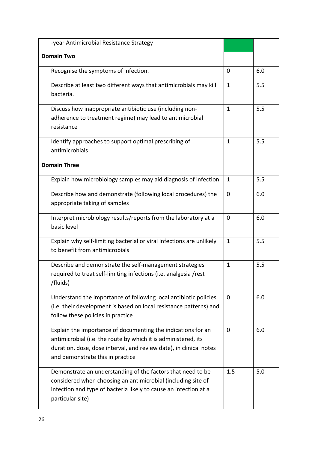| -year Antimicrobial Resistance Strategy                                                                                                                                                                                                 |              |     |
|-----------------------------------------------------------------------------------------------------------------------------------------------------------------------------------------------------------------------------------------|--------------|-----|
| <b>Domain Two</b>                                                                                                                                                                                                                       |              |     |
| Recognise the symptoms of infection.                                                                                                                                                                                                    | $\mathbf 0$  | 6.0 |
| Describe at least two different ways that antimicrobials may kill<br>bacteria.                                                                                                                                                          | $\mathbf{1}$ | 5.5 |
| Discuss how inappropriate antibiotic use (including non-<br>adherence to treatment regime) may lead to antimicrobial<br>resistance                                                                                                      | $\mathbf{1}$ | 5.5 |
| Identify approaches to support optimal prescribing of<br>antimicrobials                                                                                                                                                                 | $\mathbf{1}$ | 5.5 |
| <b>Domain Three</b>                                                                                                                                                                                                                     |              |     |
| Explain how microbiology samples may aid diagnosis of infection                                                                                                                                                                         | $\mathbf{1}$ | 5.5 |
| Describe how and demonstrate (following local procedures) the<br>appropriate taking of samples                                                                                                                                          | 0            | 6.0 |
| Interpret microbiology results/reports from the laboratory at a<br>basic level                                                                                                                                                          | 0            | 6.0 |
| Explain why self-limiting bacterial or viral infections are unlikely<br>to benefit from antimicrobials                                                                                                                                  | 1            | 5.5 |
| Describe and demonstrate the self-management strategies<br>required to treat self-limiting infections (i.e. analgesia /rest<br>/fluids)                                                                                                 | $\mathbf{1}$ | 5.5 |
| Understand the importance of following local antibiotic policies<br>(i.e. their development is based on local resistance patterns) and<br>follow these policies in practice                                                             | $\Omega$     | 6.0 |
| Explain the importance of documenting the indications for an<br>antimicrobial (i.e the route by which it is administered, its<br>duration, dose, dose interval, and review date), in clinical notes<br>and demonstrate this in practice | 0            | 6.0 |
| Demonstrate an understanding of the factors that need to be<br>considered when choosing an antimicrobial (including site of<br>infection and type of bacteria likely to cause an infection at a<br>particular site)                     | 1.5          | 5.0 |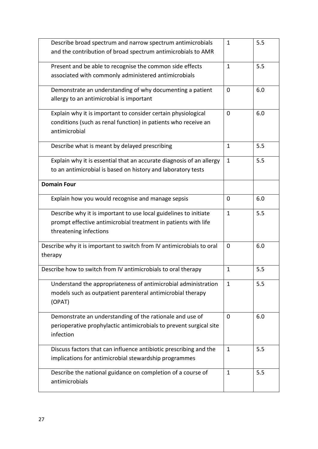| Describe broad spectrum and narrow spectrum antimicrobials                       | 1            | 5.5 |
|----------------------------------------------------------------------------------|--------------|-----|
| and the contribution of broad spectrum antimicrobials to AMR                     |              |     |
| Present and be able to recognise the common side effects                         | $\mathbf{1}$ | 5.5 |
| associated with commonly administered antimicrobials                             |              |     |
| Demonstrate an understanding of why documenting a patient                        | 0            | 6.0 |
| allergy to an antimicrobial is important                                         |              |     |
| Explain why it is important to consider certain physiological                    | 0            | 6.0 |
| conditions (such as renal function) in patients who receive an                   |              |     |
| antimicrobial                                                                    |              |     |
| Describe what is meant by delayed prescribing                                    | $\mathbf{1}$ | 5.5 |
| Explain why it is essential that an accurate diagnosis of an allergy             | $\mathbf{1}$ | 5.5 |
| to an antimicrobial is based on history and laboratory tests                     |              |     |
| <b>Domain Four</b>                                                               |              |     |
| Explain how you would recognise and manage sepsis                                | 0            | 6.0 |
| Describe why it is important to use local guidelines to initiate                 | $\mathbf{1}$ | 5.5 |
| prompt effective antimicrobial treatment in patients with life                   |              |     |
| threatening infections                                                           |              |     |
| Describe why it is important to switch from IV antimicrobials to oral<br>therapy | 0            | 6.0 |
| Describe how to switch from IV antimicrobials to oral therapy                    | 1            | 5.5 |
| Understand the appropriateness of antimicrobial administration                   | $\mathbf{1}$ | 5.5 |
| models such as outpatient parenteral antimicrobial therapy<br>(OPAT)             |              |     |
| Demonstrate an understanding of the rationale and use of                         | $\Omega$     | 6.0 |
| perioperative prophylactic antimicrobials to prevent surgical site               |              |     |
| infection                                                                        |              |     |
| Discuss factors that can influence antibiotic prescribing and the                | 1            | 5.5 |
| implications for antimicrobial stewardship programmes                            |              |     |
| Describe the national guidance on completion of a course of                      | 1            | 5.5 |
| antimicrobials                                                                   |              |     |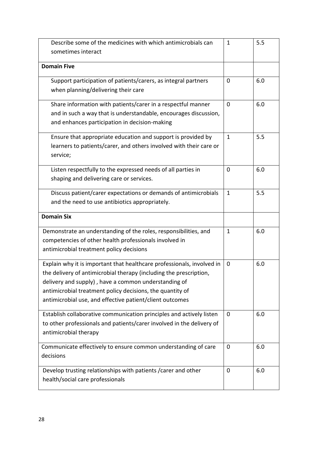| Describe some of the medicines with which antimicrobials can                                       | 1            | 5.5 |
|----------------------------------------------------------------------------------------------------|--------------|-----|
| sometimes interact                                                                                 |              |     |
|                                                                                                    |              |     |
| <b>Domain Five</b>                                                                                 |              |     |
| Support participation of patients/carers, as integral partners                                     | 0            | 6.0 |
| when planning/delivering their care                                                                |              |     |
| Share information with patients/carer in a respectful manner                                       | 0            | 6.0 |
| and in such a way that is understandable, encourages discussion,                                   |              |     |
| and enhances participation in decision-making                                                      |              |     |
| Ensure that appropriate education and support is provided by                                       | $\mathbf{1}$ | 5.5 |
| learners to patients/carer, and others involved with their care or                                 |              |     |
| service;                                                                                           |              |     |
| Listen respectfully to the expressed needs of all parties in                                       | $\Omega$     | 6.0 |
| shaping and delivering care or services.                                                           |              |     |
|                                                                                                    |              |     |
| Discuss patient/carer expectations or demands of antimicrobials                                    | 1            | 5.5 |
| and the need to use antibiotics appropriately.                                                     |              |     |
| <b>Domain Six</b>                                                                                  |              |     |
| Demonstrate an understanding of the roles, responsibilities, and                                   | $\mathbf{1}$ | 6.0 |
| competencies of other health professionals involved in                                             |              |     |
| antimicrobial treatment policy decisions                                                           |              |     |
| Explain why it is important that healthcare professionals, involved in                             | 0            | 6.0 |
| the delivery of antimicrobial therapy (including the prescription,                                 |              |     |
| delivery and supply), have a common understanding of                                               |              |     |
| antimicrobial treatment policy decisions, the quantity of                                          |              |     |
| antimicrobial use, and effective patient/client outcomes                                           |              |     |
| Establish collaborative communication principles and actively listen                               | 0            | 6.0 |
| to other professionals and patients/carer involved in the delivery of                              |              |     |
| antimicrobial therapy                                                                              |              |     |
| Communicate effectively to ensure common understanding of care                                     | 0            | 6.0 |
| decisions                                                                                          |              |     |
|                                                                                                    |              |     |
|                                                                                                    | 0            | 6.0 |
| Develop trusting relationships with patients / carer and other<br>health/social care professionals |              |     |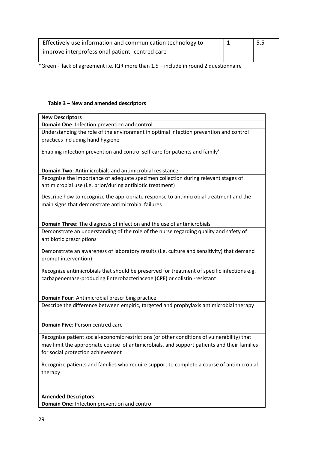| Effectively use information and communication technology to | 5.5 |
|-------------------------------------------------------------|-----|
| improve interprofessional patient -centred care             |     |

\*Green - lack of agreement i.e. IQR more than 1.5 – include in round 2 questionnaire

# **Table 3 – New and amended descriptors**

| <b>New Descriptors</b>                                                                      |
|---------------------------------------------------------------------------------------------|
| Domain One: Infection prevention and control                                                |
| Understanding the role of the environment in optimal infection prevention and control       |
| practices including hand hygiene                                                            |
|                                                                                             |
| Enabling infection prevention and control self-care for patients and family'                |
|                                                                                             |
|                                                                                             |
| <b>Domain Two: Antimicrobials and antimicrobial resistance</b>                              |
| Recognise the importance of adequate specimen collection during relevant stages of          |
| antimicrobial use (i.e. prior/during antibiotic treatment)                                  |
|                                                                                             |
| Describe how to recognize the appropriate response to antimicrobial treatment and the       |
| main signs that demonstrate antimicrobial failures                                          |
|                                                                                             |
|                                                                                             |
| Domain Three: The diagnosis of infection and the use of antimicrobials                      |
| Demonstrate an understanding of the role of the nurse regarding quality and safety of       |
| antibiotic prescriptions                                                                    |
|                                                                                             |
| Demonstrate an awareness of laboratory results (i.e. culture and sensitivity) that demand   |
| prompt intervention)                                                                        |
| Recognize antimicrobials that should be preserved for treatment of specific infections e.g. |
|                                                                                             |
| carbapenemase-producing Enterobacteriaceae (CPE) or colistin -resistant                     |
|                                                                                             |
| Domain Four: Antimicrobial prescribing practice                                             |
| Describe the difference between empiric, targeted and prophylaxis antimicrobial therapy     |
|                                                                                             |
|                                                                                             |
| Domain Five: Person centred care                                                            |
|                                                                                             |
| Recognize patient social-economic restrictions (or other conditions of vulnerability) that  |
| may limit the appropriate course of antimicrobials, and support patients and their families |
| for social protection achievement                                                           |
|                                                                                             |
| Recognize patients and families who require support to complete a course of antimicrobial   |
| therapy                                                                                     |
|                                                                                             |
|                                                                                             |
|                                                                                             |
| <b>Amended Descriptors</b>                                                                  |
| Domain One: Infection prevention and control                                                |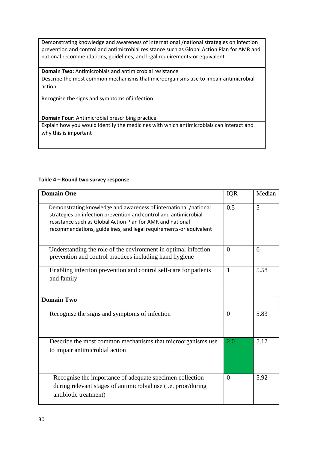Demonstrating knowledge and awareness of international /national strategies on infection prevention and control and antimicrobial resistance such as Global Action Plan for AMR and national recommendations, guidelines, and legal requirements-or equivalent

**Domain Two:** Antimicrobials and antimicrobial resistance

Describe the most common mechanisms that microorganisms use to impair antimicrobial action

Recognise the signs and symptoms of infection

**Domain Four:** Antimicrobial prescribing practice

Explain how you would identify the medicines with which antimicrobials can interact and why this is important

| Table 4 – Round two survey response |  |  |
|-------------------------------------|--|--|
|-------------------------------------|--|--|

| <b>Domain One</b>                                                                                                                                                                                                                                                       | <b>IQR</b>     | Median |
|-------------------------------------------------------------------------------------------------------------------------------------------------------------------------------------------------------------------------------------------------------------------------|----------------|--------|
| Demonstrating knowledge and awareness of international /national<br>strategies on infection prevention and control and antimicrobial<br>resistance such as Global Action Plan for AMR and national<br>recommendations, guidelines, and legal requirements-or equivalent | 0.5            | 5      |
| Understanding the role of the environment in optimal infection<br>prevention and control practices including hand hygiene                                                                                                                                               | $\Omega$       | 6      |
| Enabling infection prevention and control self-care for patients<br>and family                                                                                                                                                                                          | 1              | 5.58   |
| <b>Domain Two</b>                                                                                                                                                                                                                                                       |                |        |
| Recognise the signs and symptoms of infection                                                                                                                                                                                                                           | $\theta$       | 5.83   |
| Describe the most common mechanisms that microorganisms use<br>to impair antimicrobial action                                                                                                                                                                           | 2.0            | 5.17   |
| Recognise the importance of adequate specimen collection<br>during relevant stages of antimicrobial use (i.e. prior/during<br>antibiotic treatment)                                                                                                                     | $\overline{0}$ | 5.92   |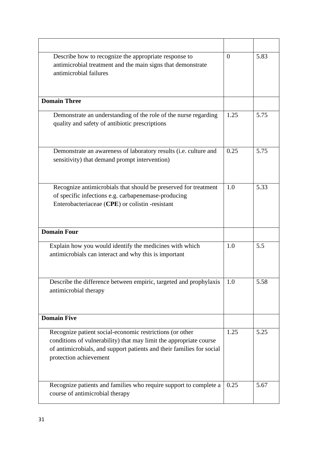| Describe how to recognize the appropriate response to<br>antimicrobial treatment and the main signs that demonstrate<br>antimicrobial failures                                                                                    | $\Omega$ | 5.83 |
|-----------------------------------------------------------------------------------------------------------------------------------------------------------------------------------------------------------------------------------|----------|------|
| <b>Domain Three</b>                                                                                                                                                                                                               |          |      |
| Demonstrate an understanding of the role of the nurse regarding<br>quality and safety of antibiotic prescriptions                                                                                                                 | 1.25     | 5.75 |
| Demonstrate an awareness of laboratory results (i.e. culture and<br>sensitivity) that demand prompt intervention)                                                                                                                 | 0.25     | 5.75 |
| Recognize antimicrobials that should be preserved for treatment<br>of specific infections e.g. carbapenemase-producing<br>Enterobacteriaceae (CPE) or colistin -resistant                                                         | 1.0      | 5.33 |
| <b>Domain Four</b>                                                                                                                                                                                                                |          |      |
| Explain how you would identify the medicines with which<br>antimicrobials can interact and why this is important                                                                                                                  | 1.0      | 5.5  |
| Describe the difference between empiric, targeted and prophylaxis<br>antimicrobial therapy                                                                                                                                        | 1.0      | 5.58 |
| <b>Domain Five</b>                                                                                                                                                                                                                |          |      |
| Recognize patient social-economic restrictions (or other<br>conditions of vulnerability) that may limit the appropriate course<br>of antimicrobials, and support patients and their families for social<br>protection achievement | 1.25     | 5.25 |
| Recognize patients and families who require support to complete a<br>course of antimicrobial therapy                                                                                                                              | 0.25     | 5.67 |